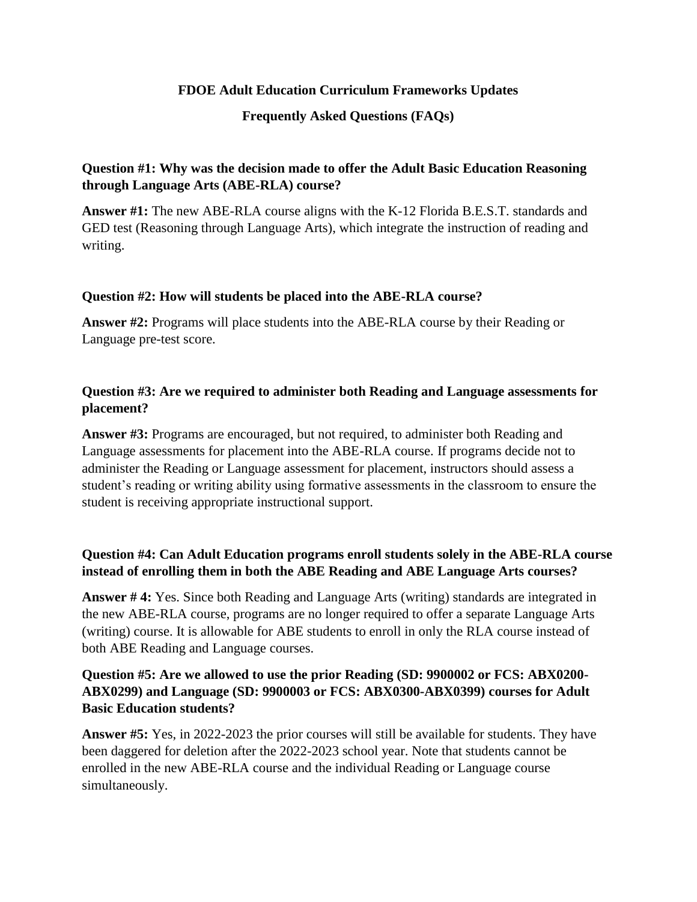## **FDOE Adult Education Curriculum Frameworks Updates**

#### **Frequently Asked Questions (FAQs)**

# **Question #1: Why was the decision made to offer the Adult Basic Education Reasoning through Language Arts (ABE-RLA) course?**

**Answer #1:** The new ABE-RLA course aligns with the K-12 Florida B.E.S.T. standards and GED test (Reasoning through Language Arts), which integrate the instruction of reading and writing.

#### **Question #2: How will students be placed into the ABE-RLA course?**

**Answer #2:** Programs will place students into the ABE-RLA course by their Reading or Language pre-test score.

# **Question #3: Are we required to administer both Reading and Language assessments for placement?**

**Answer #3:** Programs are encouraged, but not required, to administer both Reading and Language assessments for placement into the ABE-RLA course. If programs decide not to administer the Reading or Language assessment for placement, instructors should assess a student's reading or writing ability using formative assessments in the classroom to ensure the student is receiving appropriate instructional support.

# **Question #4: Can Adult Education programs enroll students solely in the ABE-RLA course instead of enrolling them in both the ABE Reading and ABE Language Arts courses?**

**Answer # 4:** Yes. Since both Reading and Language Arts (writing) standards are integrated in the new ABE-RLA course, programs are no longer required to offer a separate Language Arts (writing) course. It is allowable for ABE students to enroll in only the RLA course instead of both ABE Reading and Language courses.

# **Question #5: Are we allowed to use the prior Reading (SD: 9900002 or FCS: ABX0200- ABX0299) and Language (SD: 9900003 or FCS: ABX0300-ABX0399) courses for Adult Basic Education students?**

**Answer #5:** Yes, in 2022-2023 the prior courses will still be available for students. They have been daggered for deletion after the 2022-2023 school year. Note that students cannot be enrolled in the new ABE-RLA course and the individual Reading or Language course simultaneously.